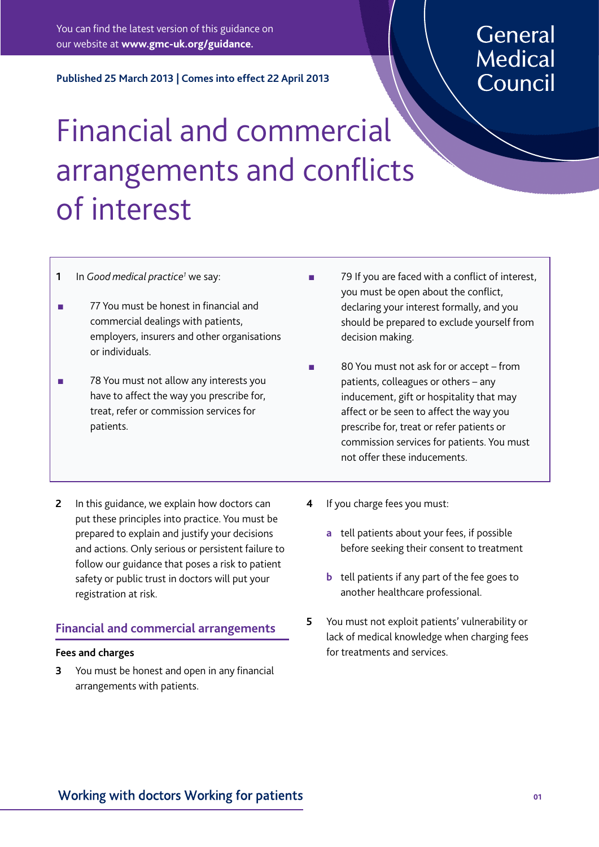You can find the latest version of this guidance on our website at **<www.gmc-uk.org/guidance>.** 

**Published 25 March 2013 | Comes into effect 22 April 2013** 

# General **Medical** Council

# Financial and commercial arrangements and conficts of interest

#### **1** In *Good medical practice<sup>1</sup>* we say:

- n 77 You must be honest in financial and commercial dealings with patients, employers, insurers and other organisations or individuals.
- **n** 78 You must not allow any interests you have to affect the way you prescribe for, treat, refer or commission services for patients.
- **2** In this guidance, we explain how doctors can put these principles into practice. You must be prepared to explain and justify your decisions and actions. Only serious or persistent failure to follow our guidance that poses a risk to patient safety or public trust in doctors will put your registration at risk.

# **Financial and commercial arrangements**

#### **Fees and charges**

**3** You must be honest and open in any financial arrangements with patients.

- 79 If you are faced with a conflict of interest, you must be open about the confict, declaring your interest formally, and you should be prepared to exclude yourself from decision making.
- 80 You must not ask for or accept from patients, colleagues or others – any inducement, gift or hospitality that may affect or be seen to affect the way you prescribe for, treat or refer patients or commission services for patients. You must not offer these inducements.
- **4** If you charge fees you must:
	- **a** tell patients about your fees, if possible before seeking their consent to treatment
	- **b** tell patients if any part of the fee goes to another healthcare professional.
- **5** You must not exploit patients' vulnerability or lack of medical knowledge when charging fees for treatments and services.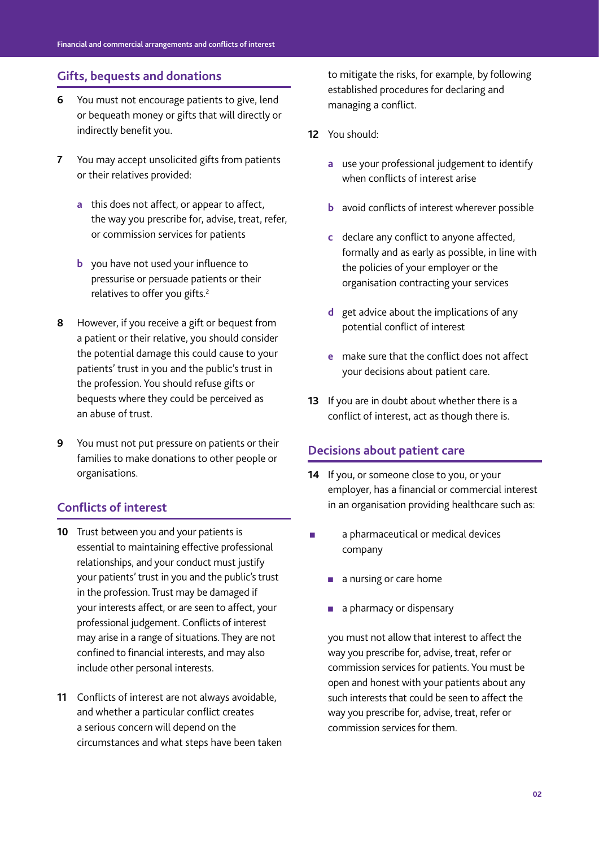#### **Gifts, bequests and donations**

- **6** You must not encourage patients to give, lend or bequeath money or gifts that will directly or indirectly benefit you.
- **7** You may accept unsolicited gifts from patients or their relatives provided:
	- **a** this does not affect, or appear to affect, the way you prescribe for, advise, treat, refer, or commission services for patients
	- **b** you have not used your influence to pressurise or persuade patients or their relatives to offer you gifts.<sup>2</sup>
- **8** However, if you receive a gift or bequest from a patient or their relative, you should consider the potential damage this could cause to your patients' trust in you and the public's trust in the profession. You should refuse gifts or bequests where they could be perceived as an abuse of trust.
- **9** You must not put pressure on patients or their families to make donations to other people or organisations.

# **Conficts of interest**

- **10** Trust between you and your patients is essential to maintaining effective professional relationships, and your conduct must justify your patients' trust in you and the public's trust in the profession. Trust may be damaged if your interests affect, or are seen to affect, your professional judgement. Conficts of interest may arise in a range of situations. They are not confined to financial interests, and may also include other personal interests.
- **11** Conficts of interest are not always avoidable, and whether a particular confict creates a serious concern will depend on the circumstances and what steps have been taken

to mitigate the risks, for example, by following established procedures for declaring and managing a confict.

- **12** You should:
	- **a** use your professional judgement to identify when conflicts of interest arise
	- **b** avoid conflicts of interest wherever possible
	- **c** declare any confict to anyone affected, formally and as early as possible, in line with the policies of your employer or the organisation contracting your services
	- **d** get advice about the implications of any potential conflict of interest
	- **e** make sure that the confict does not affect your decisions about patient care.
- **13** If you are in doubt about whether there is a confict of interest, act as though there is.

#### **Decisions about patient care**

- **14** If you, or someone close to you, or your employer, has a financial or commercial interest in an organisation providing healthcare such as:
- **n** a pharmaceutical or medical devices company
	- $\blacksquare$  a nursing or care home
	- **n** a pharmacy or dispensary

you must not allow that interest to affect the way you prescribe for, advise, treat, refer or commission services for patients. You must be open and honest with your patients about any such interests that could be seen to affect the way you prescribe for, advise, treat, refer or commission services for them.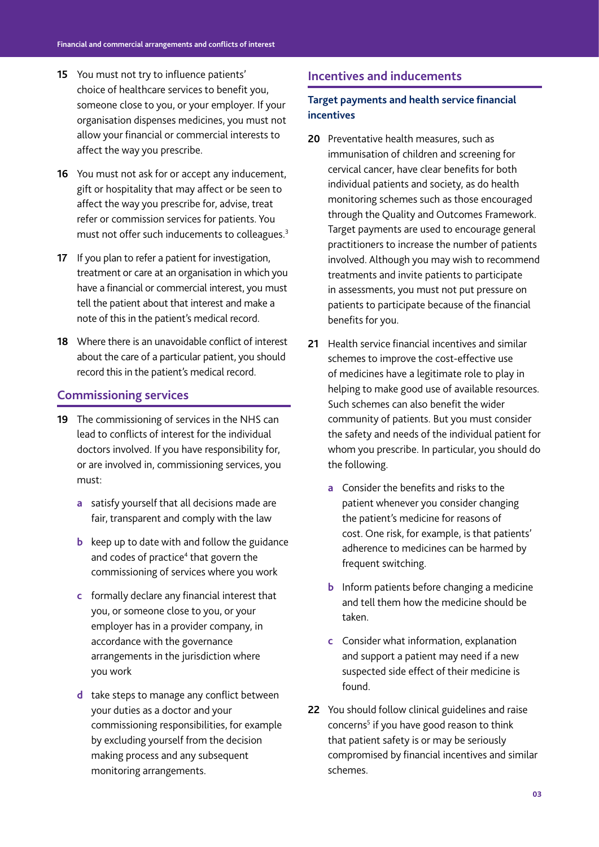- **15** You must not try to infuence patients' choice of healthcare services to benefit you, someone close to you, or your employer. If your organisation dispenses medicines, you must not allow your financial or commercial interests to affect the way you prescribe.
- **16** You must not ask for or accept any inducement, gift or hospitality that may affect or be seen to affect the way you prescribe for, advise, treat refer or commission services for patients. You must not offer such inducements to colleagues.<sup>3</sup>
- **17** If you plan to refer a patient for investigation, treatment or care at an organisation in which you have a financial or commercial interest, you must tell the patient about that interest and make a note of this in the patient's medical record.
- **18** Where there is an unavoidable confict of interest about the care of a particular patient, you should record this in the patient's medical record.

#### **Commissioning services**

- **19** The commissioning of services in the NHS can lead to conficts of interest for the individual doctors involved. If you have responsibility for, or are involved in, commissioning services, you must:
	- **a** satisfy yourself that all decisions made are fair, transparent and comply with the law
	- **b** keep up to date with and follow the guidance and codes of practice<sup>4</sup> that govern the commissioning of services where you work
	- **c** formally declare any financial interest that you, or someone close to you, or your employer has in a provider company, in accordance with the governance arrangements in the jurisdiction where you work
	- **d** take steps to manage any conflict between your duties as a doctor and your commissioning responsibilities, for example by excluding yourself from the decision making process and any subsequent monitoring arrangements.

#### **Incentives and inducements**

#### **Target payments and health service fnancial incentives**

- **20** Preventative health measures, such as immunisation of children and screening for cervical cancer, have clear benefits for both individual patients and society, as do health monitoring schemes such as those encouraged through the Quality and Outcomes Framework. Target payments are used to encourage general practitioners to increase the number of patients involved. Although you may wish to recommend treatments and invite patients to participate in assessments, you must not put pressure on patients to participate because of the financial benefits for you.
- **21** Health service financial incentives and similar schemes to improve the cost-effective use of medicines have a legitimate role to play in helping to make good use of available resources. Such schemes can also benefit the wider community of patients. But you must consider the safety and needs of the individual patient for whom you prescribe. In particular, you should do the following.
	- **a** Consider the benefts and risks to the patient whenever you consider changing the patient's medicine for reasons of cost. One risk, for example, is that patients' adherence to medicines can be harmed by frequent switching.
	- **b** Inform patients before changing a medicine and tell them how the medicine should be taken.
	- **c** Consider what information, explanation and support a patient may need if a new suspected side effect of their medicine is found.
- **22** You should follow clinical guidelines and raise concerns<sup>5</sup> if you have good reason to think that patient safety is or may be seriously compromised by financial incentives and similar schemes.